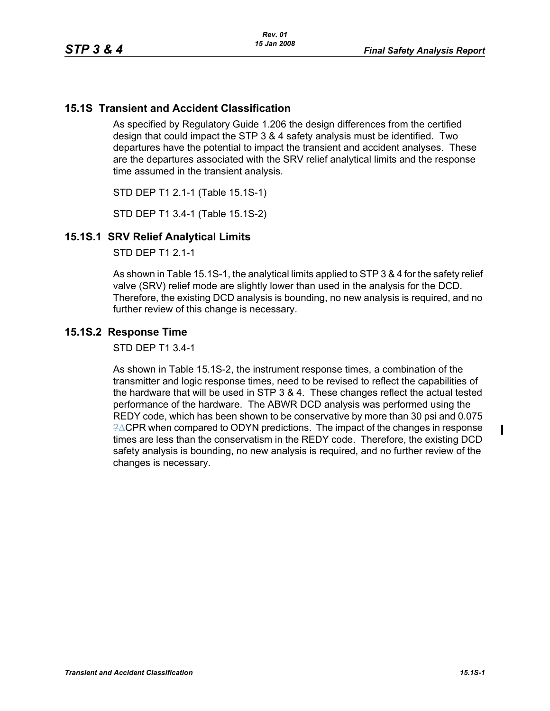## **15.1S Transient and Accident Classification**

As specified by Regulatory Guide 1.206 the design differences from the certified design that could impact the STP 3 & 4 safety analysis must be identified. Two departures have the potential to impact the transient and accident analyses. These are the departures associated with the SRV relief analytical limits and the response time assumed in the transient analysis.

STD DEP T1 2.1-1 (Table 15.1S-1)

STD DEP T1 3.4-1 (Table 15.1S-2)

## **15.1S.1 SRV Relief Analytical Limits**

STD DFP T1 2 1-1

As shown in Table 15.1S-1, the analytical limits applied to STP 3 & 4 for the safety relief valve (SRV) relief mode are slightly lower than used in the analysis for the DCD. Therefore, the existing DCD analysis is bounding, no new analysis is required, and no further review of this change is necessary.

## **15.1S.2 Response Time**

STD DEP T1 3.4-1

As shown in Table 15.1S-2, the instrument response times, a combination of the transmitter and logic response times, need to be revised to reflect the capabilities of the hardware that will be used in STP 3 & 4. These changes reflect the actual tested performance of the hardware. The ABWR DCD analysis was performed using the REDY code, which has been shown to be conservative by more than 30 psi and 0.075 ?ΔCPR when compared to ODYN predictions. The impact of the changes in response times are less than the conservatism in the REDY code. Therefore, the existing DCD safety analysis is bounding, no new analysis is required, and no further review of the changes is necessary.

 $\blacksquare$